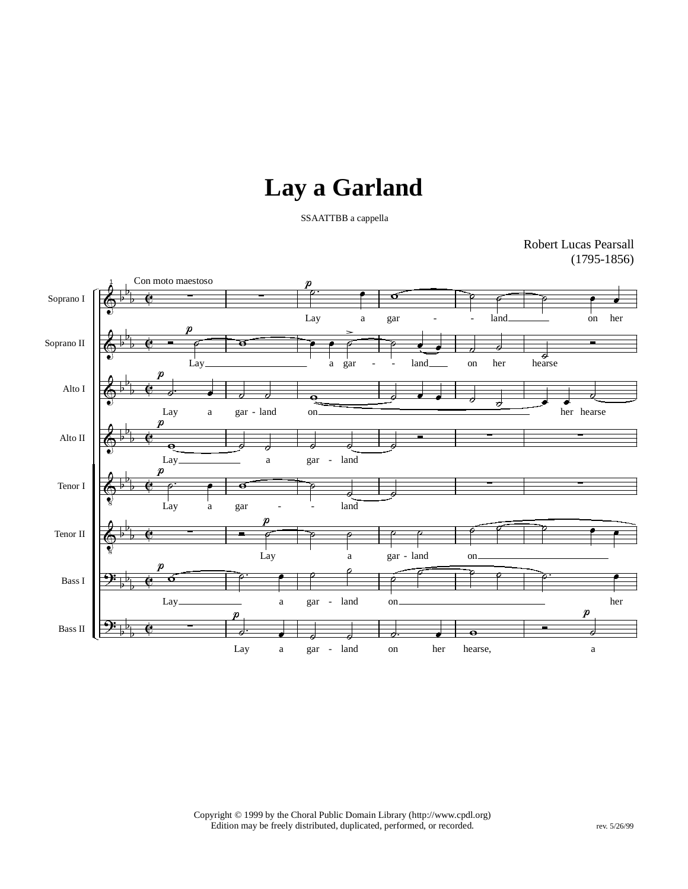## **Lay a Garland**

SSAATTBB a cappella

Robert Lucas Pearsall (1795-1856)

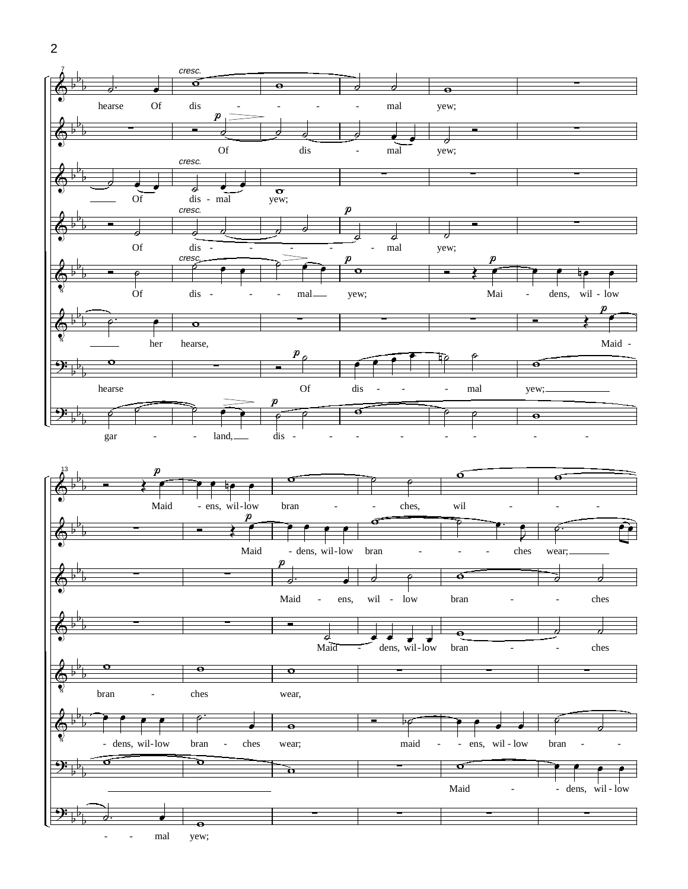



z

z

z

z

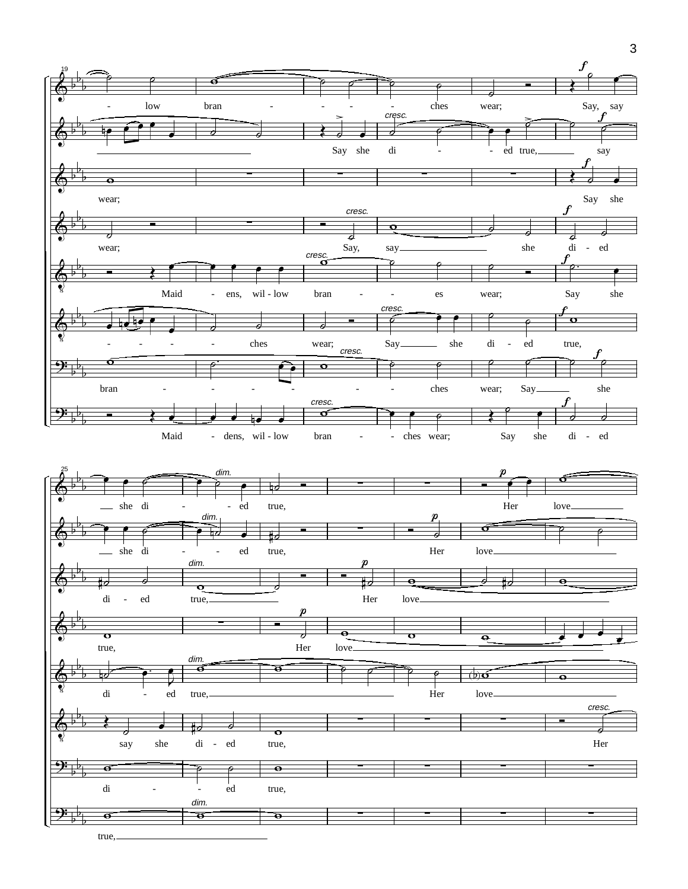

3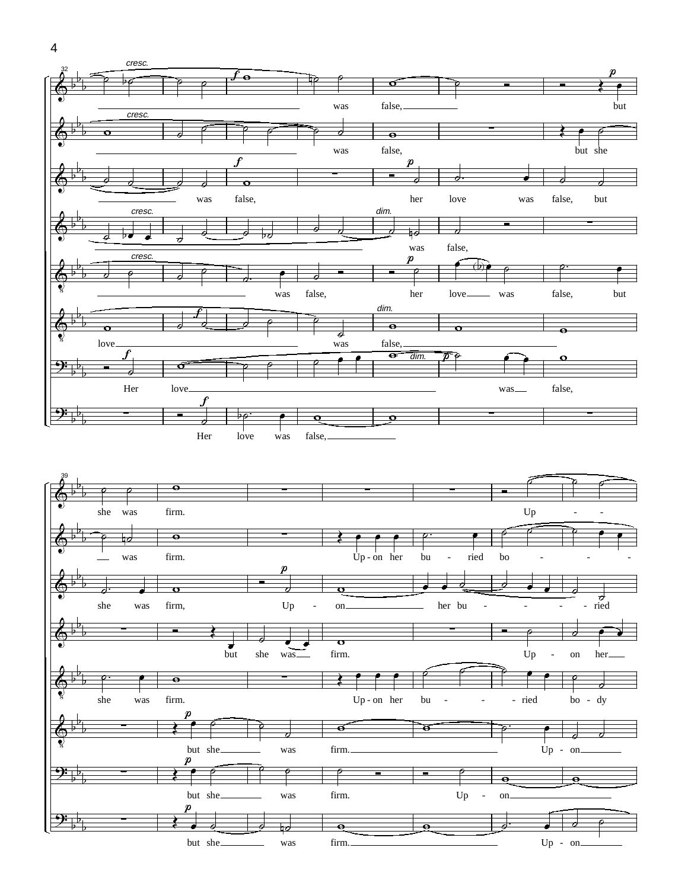



4